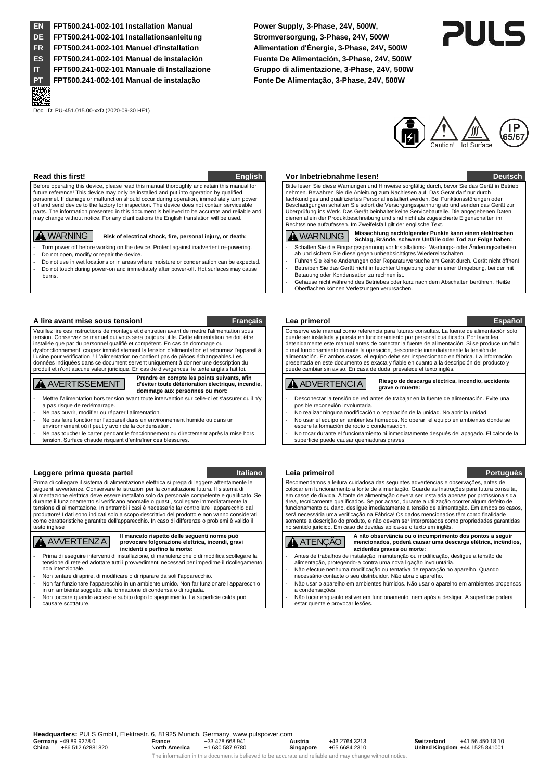**EN FPT500.241-002-101 Installation Manual Power Supply, 3-Phase, 24V, 500W, DE FPT500.241-002-101 Installationsanleitung Stromversorgung, 3-Phase, 24V, 500W FR FPT500.241-002-101 Manuel d'installation Alimentation d'Énergie, 3-Phase, 24V, 500W ES FPT500.241-002-101 Manual de instalación Fuente De Alimentación, 3-Phase, 24V, 500W IT FPT500.241-002-101 Manuale di Installazione Gruppo di alimentazione, 3-Phase, 24V, 500W PT FPT500.241-002-101 Manual de instalação Fonte De Alimentação, 3-Phase, 24V, 500W**

Doc. ID: PU-451.015.00-xxD (2020-09-30 HE1)



.

Before operating this device, please read this manual thoroughly and retain this manual for future reference! This device may only be installed and put into operation by qualified personnel. If damage or malfunction should occur during operation, immediately turn power off and send device to the factory for inspection. The device does not contain serviceable parts. The information presented in this document is believed to be accurate and reliable and may change without notice. For any clarifications the English translation will be used.

- **A** WARNING Risk of electrical shock, fire, personal injury, or death:
- Turn power off before working on the device. Protect against inadvertent re-powering. Do not open, modify or repair the device.
- 
- Do not use in wet locations or in areas where moisture or condensation can be expected. Do not touch during power-on and immediately after power-off. Hot surfaces may cause burns.

### **A lire avant mise sous tension! Français Lea primero! Español**

Veuillez lire ces instructions de montage et d'entretien avant de mettre l'alimentation sous tension. Conservez ce manuel qui vous sera toujours utile. Cette alimentation ne doit être installée que par du personnel qualifié et compétent. En cas de dommage ou dysfonctionnement, coupez immédiatement la tension d'alimentation et retournez l'appareil à l'usine pour vérification. ! L'alimentation ne contient pas de pièces échangeables Les données indiquées dans ce document servent uniquement à donner une description du produit et n'ont aucune valeur juridique. En cas de divergences, le texte anglais fait foi.

## **A** AVERTISSEMENT

**Prendre en compte les points suivants, afin d'éviter toute détérioration électrique, incendie, dommage aux personnes ou mort:**

- Mettre l'alimentation hors tension avant toute intervention sur celle-ci et s'assurer qu'il n'y a pas risque de redémarrage.
- Ne pas ouvrir, modifier ou réparer l'alimentation.
- Ne pas faire fonctionner l'appareil dans un environnement humide ou dans un
- environnement où il peut y avoir de la condensation.
- Ne pas toucher le carter pendant le fonctionnement ou directement après la mise hors tension. Surface chaude risquant d'entraîner des blessures.

## **Leggere prima questa parte! Italiano Leia primeiro! Portuguès**

Prima di collegare il sistema di alimentazione elettrica si prega di leggere attentamente le seguenti avvertenze. Conservare le istruzioni per la consultazione futura. Il sistema di alimentazione elettrica deve essere installato solo da personale competente e qualificato. Se durante il funzionamento si verificano anomalie o guasti, scollegare immediatamente la tensione di alimentazione. In entrambi i casi è necessario far controllare l'apparecchio dal produttore! I dati sono indicati solo a scopo descrittivo del prodotto e non vanno considerati come caratteristiche garantite dell'apparecchio. In caso di differenze o problemi è valido il testo inglese



**Il mancato rispetto delle seguenti norme può provocare folgorazione elettrica, incendi, gravi incidenti e perfino la morte:**

- Prima di eseguire interventi di installazione, di manutenzione o di modifica scollegare la tensione di rete ed adottare tutti i provvedimenti necessari per impedirne il ricollegamento non intenzionale.
- Non tentare di aprire, di modificare o di riparare da soli l'apparecchio - Non far funzionare l'apparecchio in un ambiente umido. Non far funzionare l'apparecchio

in un ambiente soggetto alla formazione di condensa o di rugiada. - Non toccare quando acceso e subito dopo lo spegnimento. La superficie calda può

causare scottature.

### **Read this first! English Vor Inbetriebnahme lesen! Deutsch**

Bitte lesen Sie diese Warnungen und Hinweise sorgfältig durch, bevor Sie das Gerät in Betrieb nehmen. Bewahren Sie die Anleitung zum Nachlesen auf. Das Gerät darf nur durch fachkundiges und qualifiziertes Personal installiert werden. Bei Funktionsstörungen oder Beschädigungen schalten Sie sofort die Versorgungsspannung ab und senden das Gerät zur Überprüfung ins Werk. Das Gerät beinhaltet keine Servicebauteile. Die angegebenen Daten dienen allein der Produktbeschreibung und sind nicht als zugesicherte Eigenschaften im Rechtssinne aufzufassen. Im Zweifelsfall gilt der englische Text.

A WARNUNG **Missachtung nachfolgender Punkte kann einen elektrischen Schlag, Brände, schwere Unfälle oder Tod zur Folge haben:** Schalten Sie die Eingangsspannung vor Installations-, Wartungs- oder Änderungsarbeiten

- ab und sichern Sie diese gegen unbeabsichtigtes Wiedereinschalten. Führen Sie keine Änderungen oder Reparaturversuche am Gerät durch. Gerät nicht öffnen!
- Betreiben Sie das Gerät nicht in feuchter Umgebung oder in einer Umgebung, bei der mit Betauung oder Kondensation zu rechnen ist.
- Gehäuse nicht während des Betriebes oder kurz nach dem Abschalten berühren. Heiße Oberflächen können Verletzungen verursachen.

Conserve este manual como referencia para futuras consultas. La fuente de alimentación solo puede ser instalada y puesta en funcionamiento por personal cualificado. Por favor lea detenidamente este manual antes de conectar la fuente de alimentación. Si se produce un fallo o mal funcionamiento durante la operación, desconecte inmediatamente la tensión de alimentación. En ambos casos, el equipo debe ser inspeccionado en fábrica. La información presentada en este documento es exacta y fiable en cuanto a la descripción del producto y puede cambiar sin aviso. En casa de duda, prevalece el texto inglés.

### **A** ADVERTENCIA

### **Riesgo de descarga eléctrica, incendio, accidente grave o muerte:**

- Desconectar la tensión de red antes de trabajar en la fuente de alimentación. Evite una posible reconexión involuntaria.
- No realizar ninguna modificación o reparación de la unidad. No abrir la unidad. - No usar el equipo en ambientes húmedos. No operar el equipo en ambientes donde se
- espere la formación de rocío o condensación. - No tocar durante el funcionamiento ni inmediatamente después del apagado. El calor de la superficie puede causar quemaduras graves.

Recomendamos a leitura cuidadosa das seguintes advertências e observações, antes de colocar em funcionamento a fonte de alimentação. Guarde as Instruções para futura consulta, em casos de dúvida. A fonte de alimentação deverá ser instalada apenas por profissionais da área, tecnicamente qualificados. Se por acaso, durante a utilização ocorrer algum defeito de funcionamento ou dano, desligue imediatamente a tensão de alimentação. Em ambos os casos, será necessária uma verificação na Fábrica! Os dados mencionados têm como finalidade somente a descrição do produto, e não devem ser interpretados como propriedades garantidas no sentido jurídico. Em caso de duvidas aplica-se o texto em inglês.



- Antes de trabalhos de instalação, manutenção ou modificação, desligue a tensão de alimentação, protegendo-a contra uma nova ligação involuntária.
- Não efectue nenhuma modificação ou tentativa de reparação no aparelho. Quando necessário contacte o seu distribuidor. Não abra o aparelho.
- Não usar o aparelho em ambientes húmidos. Não usar o aparelho em ambientes propensos a condensações.

Não tocar enquanto estiver em funcionamento, nem após a desligar. A superficie poderá estar quente e provocar lesões.

**Headquarters:** PULS GmbH, Elektrastr. 6, 81925 Munich, Germany, www.pulspower.com **Germany** +49 89 9278 0 **France** +33 478 668 941 **Austria** +43 2764 3213 **Switzerland** +41 56 450 18 10 **China** +86 512 62881820 N**orth America** +1 630 587 9780 **Singapore** +65 6684 2310 **United Kingdom** +44 1525 841001 The information in this document is believed to be accurate and reliable and may change without notice.